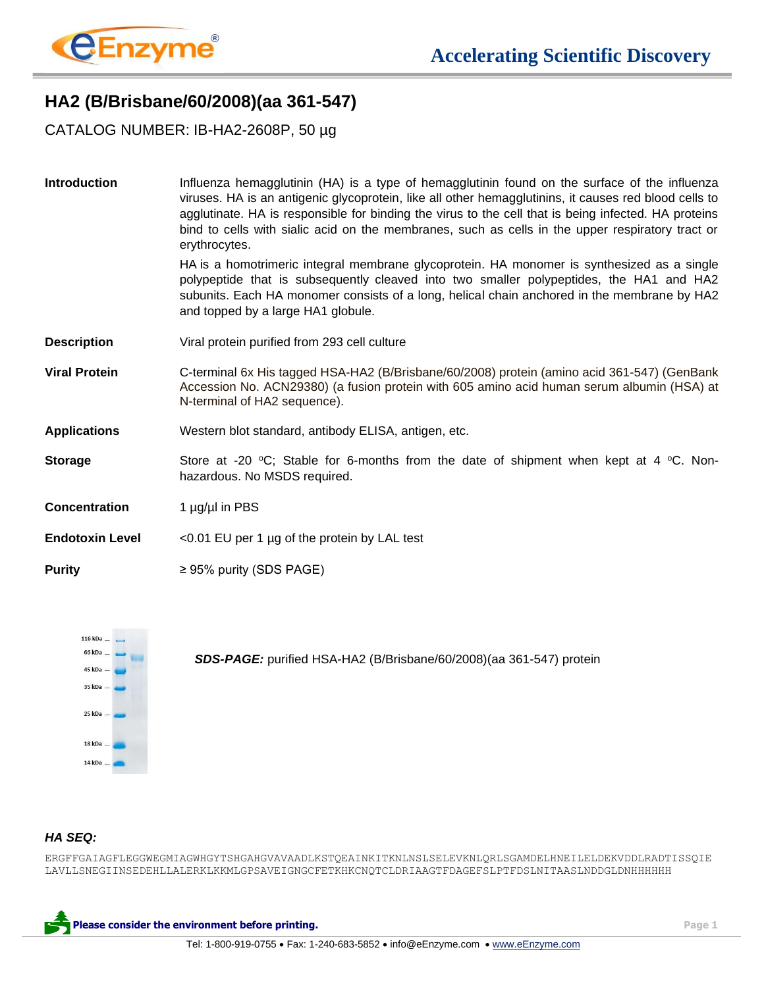

## **HA2 (B/Brisbane/60/2008)(aa 361-547)**

CATALOG NUMBER: IB-HA2-2608P, 50 µg

| Introduction           | Influenza hemagglutinin (HA) is a type of hemagglutinin found on the surface of the influenza<br>viruses. HA is an antigenic glycoprotein, like all other hemagglutinins, it causes red blood cells to<br>agglutinate. HA is responsible for binding the virus to the cell that is being infected. HA proteins<br>bind to cells with sialic acid on the membranes, such as cells in the upper respiratory tract or<br>erythrocytes. |
|------------------------|-------------------------------------------------------------------------------------------------------------------------------------------------------------------------------------------------------------------------------------------------------------------------------------------------------------------------------------------------------------------------------------------------------------------------------------|
|                        | HA is a homotrimeric integral membrane glycoprotein. HA monomer is synthesized as a single<br>polypeptide that is subsequently cleaved into two smaller polypeptides, the HA1 and HA2<br>subunits. Each HA monomer consists of a long, helical chain anchored in the membrane by HA2<br>and topped by a large HA1 globule.                                                                                                          |
| <b>Description</b>     | Viral protein purified from 293 cell culture                                                                                                                                                                                                                                                                                                                                                                                        |
| <b>Viral Protein</b>   | C-terminal 6x His tagged HSA-HA2 (B/Brisbane/60/2008) protein (amino acid 361-547) (GenBank<br>Accession No. ACN29380) (a fusion protein with 605 amino acid human serum albumin (HSA) at<br>N-terminal of HA2 sequence).                                                                                                                                                                                                           |
| <b>Applications</b>    | Western blot standard, antibody ELISA, antigen, etc.                                                                                                                                                                                                                                                                                                                                                                                |
| <b>Storage</b>         | Store at -20 °C; Stable for 6-months from the date of shipment when kept at 4 °C. Non-<br>hazardous. No MSDS required.                                                                                                                                                                                                                                                                                                              |
| <b>Concentration</b>   | 1 µg/µl in PBS                                                                                                                                                                                                                                                                                                                                                                                                                      |
| <b>Endotoxin Level</b> | $<$ 0.01 EU per 1 µg of the protein by LAL test                                                                                                                                                                                                                                                                                                                                                                                     |
| <b>Purity</b>          | ≥ 95% purity (SDS PAGE)                                                                                                                                                                                                                                                                                                                                                                                                             |



*SDS-PAGE:* purified HSA-HA2 (B/Brisbane/60/2008)(aa 361-547) protein

## *HA SEQ:*

ERGFFGAIAGFLEGGWEGMIAGWHGYTSHGAHGVAVAADLKSTQEAINKITKNLNSLSELEVKNLQRLSGAMDELHNEILELDEKVDDLRADTISSQIE LAVLLSNEGIINSEDEHLLALERKLKKMLGPSAVEIGNGCFETKHKCNQTCLDRIAAGTFDAGEFSLPTFDSLNITAASLNDDGLDNHHHHHH

**Please consider the environment before printing. Page 1**